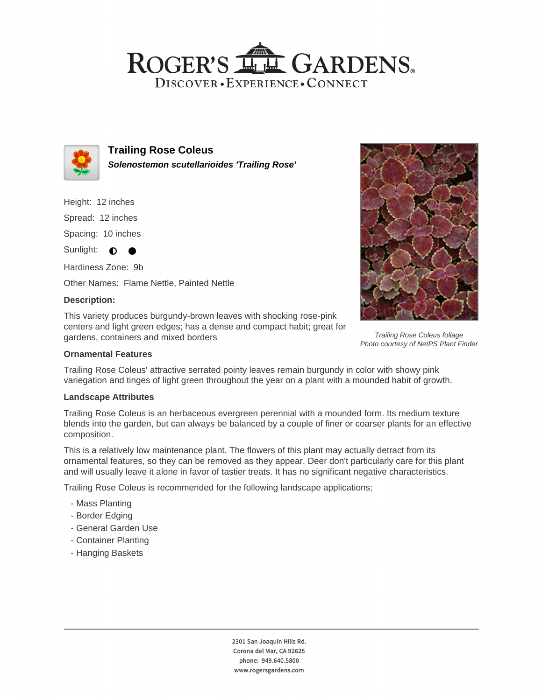## ROGER'S LL GARDENS. DISCOVER · EXPERIENCE · CONNECT



**Trailing Rose Coleus Solenostemon scutellarioides 'Trailing Rose'**

Height: 12 inches

Spread: 12 inches

Spacing: 10 inches

Sunlight:  $\bullet$  $\bullet$ 

Hardiness Zone: 9b Other Names: Flame Nettle, Painted Nettle

## **Description:**

This variety produces burgundy-brown leaves with shocking rose-pink centers and light green edges; has a dense and compact habit; great for gardens, containers and mixed borders



Trailing Rose Coleus' attractive serrated pointy leaves remain burgundy in color with showy pink variegation and tinges of light green throughout the year on a plant with a mounded habit of growth.

#### **Landscape Attributes**

Trailing Rose Coleus is an herbaceous evergreen perennial with a mounded form. Its medium texture blends into the garden, but can always be balanced by a couple of finer or coarser plants for an effective composition.

This is a relatively low maintenance plant. The flowers of this plant may actually detract from its ornamental features, so they can be removed as they appear. Deer don't particularly care for this plant and will usually leave it alone in favor of tastier treats. It has no significant negative characteristics.

Trailing Rose Coleus is recommended for the following landscape applications;

- Mass Planting
- Border Edging
- General Garden Use
- Container Planting
- Hanging Baskets



Trailing Rose Coleus foliage Photo courtesy of NetPS Plant Finder